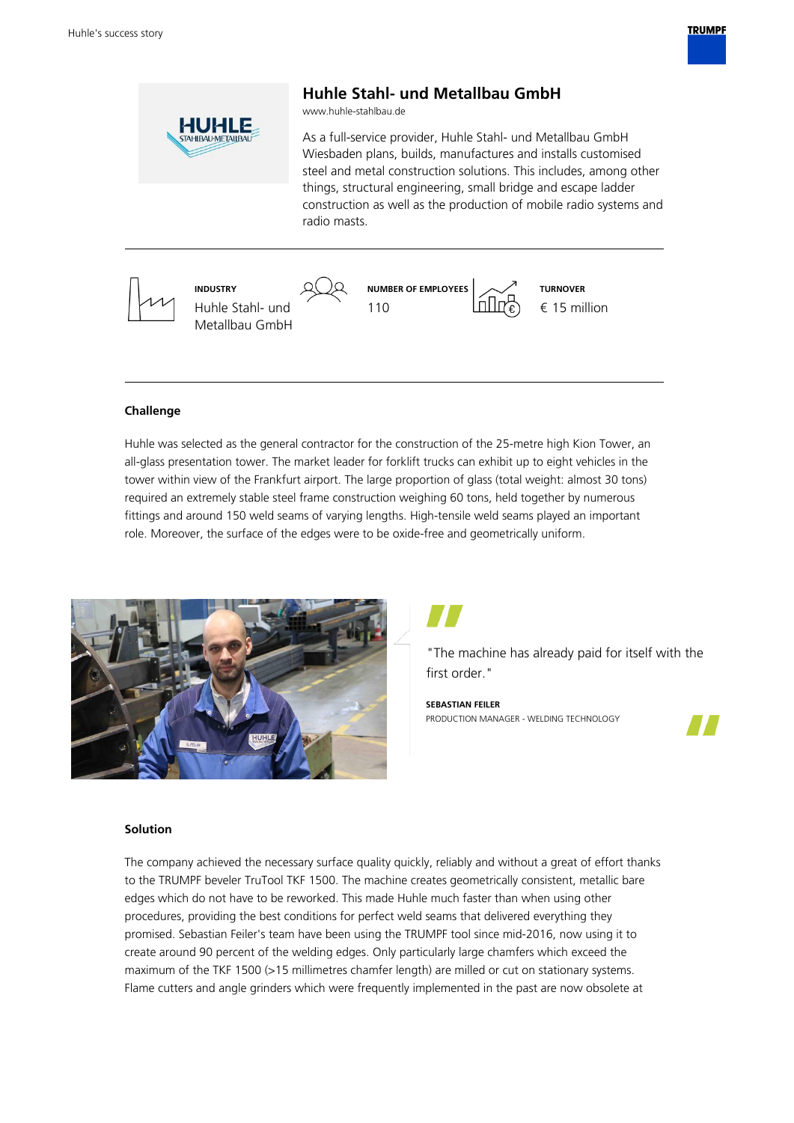



## **Challenge**

Huhle was selected as the general contractor for the construction of the 25-metre high Kion Tower, an all-glass presentation tower. The market leader for forklift trucks can exhibit up to eight vehicles in the tower within view of the Frankfurt airport. The large proportion of glass (total weight: almost 30 tons) required an extremely stable steel frame construction weighing 60 tons, held together by numerous fittings and around 150 weld seams of varying lengths. High-tensile weld seams played an important role. Moreover, the surface of the edges were to be oxide-free and geometrically uniform.



"The machine has already paid for itself with the first order."

**SEBASTIAN FEILER** PRODUCTION MANAGER - WELDING TECHNOLOGY

# $\boldsymbol{\mathcal{L}}$

### **Solution**

The company achieved the necessary surface quality quickly, reliably and without a great of effort thanks to the TRUMPF beveler TruTool TKF 1500. The machine creates geometrically consistent, metallic bare edges which do not have to be reworked. This made Huhle much faster than when using other procedures, providing the best conditions for perfect weld seams that delivered everything they promised. Sebastian Feiler's team have been using the TRUMPF tool since mid-2016, now using it to create around 90 percent of the welding edges. Only particularly large chamfers which exceed the maximum of the TKF 1500 (>15 millimetres chamfer length) are milled or cut on stationary systems. Flame cutters and angle grinders which were frequently implemented in the past are now obsolete at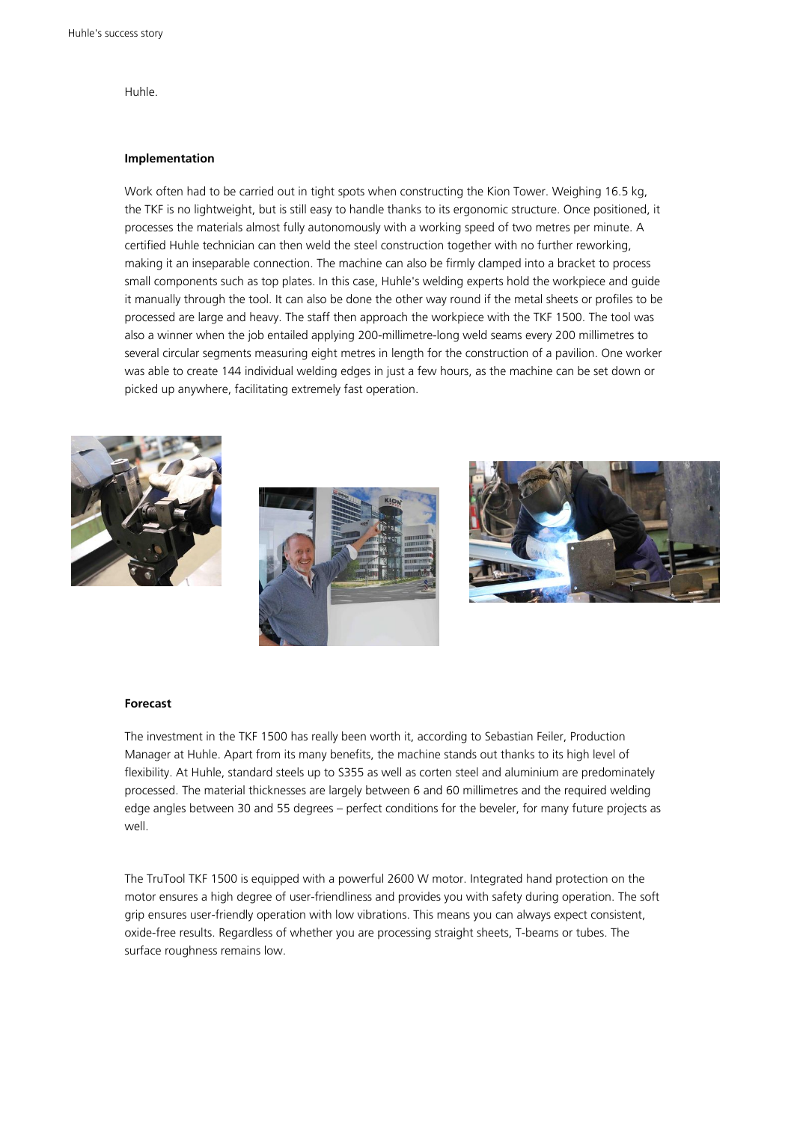Huhle.

#### **Implementation**

Work often had to be carried out in tight spots when constructing the Kion Tower. Weighing 16.5 kg, the TKF is no lightweight, but is still easy to handle thanks to its ergonomic structure. Once positioned, it processes the materials almost fully autonomously with a working speed of two metres per minute. A certified Huhle technician can then weld the steel construction together with no further reworking, making it an inseparable connection. The machine can also be firmly clamped into a bracket to process small components such as top plates. In this case, Huhle's welding experts hold the workpiece and guide it manually through the tool. It can also be done the other way round if the metal sheets or profiles to be processed are large and heavy. The staff then approach the workpiece with the TKF 1500. The tool was also a winner when the job entailed applying 200-millimetre-long weld seams every 200 millimetres to several circular segments measuring eight metres in length for the construction of a pavilion. One worker was able to create 144 individual welding edges in just a few hours, as the machine can be set down or picked up anywhere, facilitating extremely fast operation.







### **Forecast**

The investment in the TKF 1500 has really been worth it, according to Sebastian Feiler, Production Manager at Huhle. Apart from its many benefits, the machine stands out thanks to its high level of flexibility. At Huhle, standard steels up to S355 as well as corten steel and aluminium are predominately processed. The material thicknesses are largely between 6 and 60 millimetres and the required welding edge angles between 30 and 55 degrees – perfect conditions for the beveler, for many future projects as well.

The TruTool TKF 1500 is equipped with a powerful 2600 W motor. Integrated hand protection on the motor ensures a high degree of user-friendliness and provides you with safety during operation. The soft grip ensures user-friendly operation with low vibrations. This means you can always expect consistent, oxide-free results. Regardless of whether you are processing straight sheets, T-beams or tubes. The surface roughness remains low.